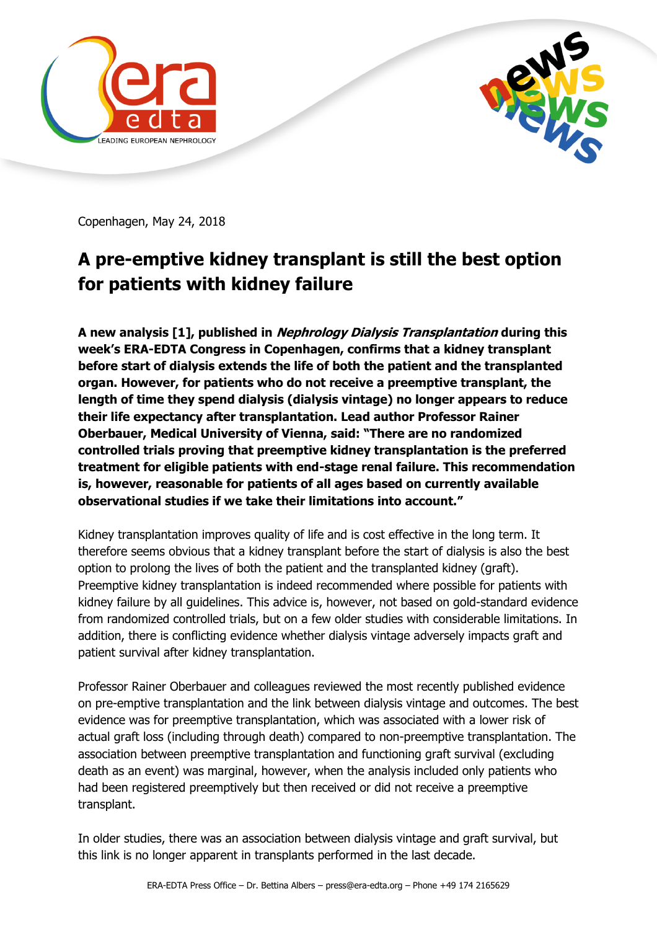



Copenhagen, May 24, 2018

## **A pre-emptive kidney transplant is still the best option for patients with kidney failure**

**A new analysis [1], published in Nephrology Dialysis Transplantation during this week's ERA-EDTA Congress in Copenhagen, confirms that a kidney transplant before start of dialysis extends the life of both the patient and the transplanted organ. However, for patients who do not receive a preemptive transplant, the length of time they spend dialysis (dialysis vintage) no longer appears to reduce their life expectancy after transplantation. Lead author Professor Rainer Oberbauer, Medical University of Vienna, said: "There are no randomized controlled trials proving that preemptive kidney transplantation is the preferred treatment for eligible patients with end-stage renal failure. This recommendation is, however, reasonable for patients of all ages based on currently available observational studies if we take their limitations into account."**

Kidney transplantation improves quality of life and is cost effective in the long term. It therefore seems obvious that a kidney transplant before the start of dialysis is also the best option to prolong the lives of both the patient and the transplanted kidney (graft). Preemptive kidney transplantation is indeed recommended where possible for patients with kidney failure by all guidelines. This advice is, however, not based on gold-standard evidence from randomized controlled trials, but on a few older studies with considerable limitations. In addition, there is conflicting evidence whether dialysis vintage adversely impacts graft and patient survival after kidney transplantation.

Professor Rainer Oberbauer and colleagues reviewed the most recently published evidence on pre-emptive transplantation and the link between dialysis vintage and outcomes. The best evidence was for preemptive transplantation, which was associated with a lower risk of actual graft loss (including through death) compared to non-preemptive transplantation. The association between preemptive transplantation and functioning graft survival (excluding death as an event) was marginal, however, when the analysis included only patients who had been registered preemptively but then received or did not receive a preemptive transplant.

In older studies, there was an association between dialysis vintage and graft survival, but this link is no longer apparent in transplants performed in the last decade.